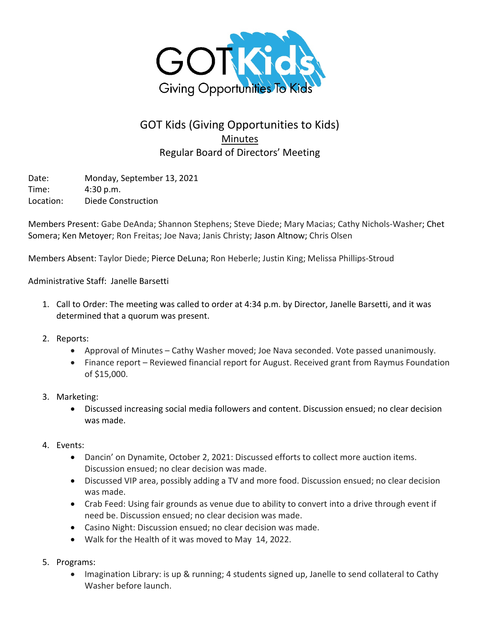

## GOT Kids (Giving Opportunities to Kids) **Minutes** Regular Board of Directors' Meeting

Date: Monday, September 13, 2021 Time: 4:30 p.m. Location: Diede Construction

Members Present: Gabe DeAnda; Shannon Stephens; Steve Diede; Mary Macias; Cathy Nichols-Washer; Chet Somera; Ken Metoyer; Ron Freitas; Joe Nava; Janis Christy; Jason Altnow; Chris Olsen

Members Absent: Taylor Diede; Pierce DeLuna; Ron Heberle; Justin King; Melissa Phillips-Stroud

Administrative Staff: Janelle Barsetti

- 1. Call to Order: The meeting was called to order at 4:34 p.m. by Director, Janelle Barsetti, and it was determined that a quorum was present.
- 2. Reports:
	- Approval of Minutes Cathy Washer moved; Joe Nava seconded. Vote passed unanimously.
	- Finance report Reviewed financial report for August. Received grant from Raymus Foundation of \$15,000.
- 3. Marketing:
	- Discussed increasing social media followers and content. Discussion ensued; no clear decision was made.
- 4. Events:
	- Dancin' on Dynamite, October 2, 2021: Discussed efforts to collect more auction items. Discussion ensued; no clear decision was made.
	- Discussed VIP area, possibly adding a TV and more food. Discussion ensued; no clear decision was made.
	- Crab Feed: Using fair grounds as venue due to ability to convert into a drive through event if need be. Discussion ensued; no clear decision was made.
	- Casino Night: Discussion ensued; no clear decision was made.
	- Walk for the Health of it was moved to May 14, 2022.
- 5. Programs:
	- Imagination Library: is up & running; 4 students signed up, Janelle to send collateral to Cathy Washer before launch.